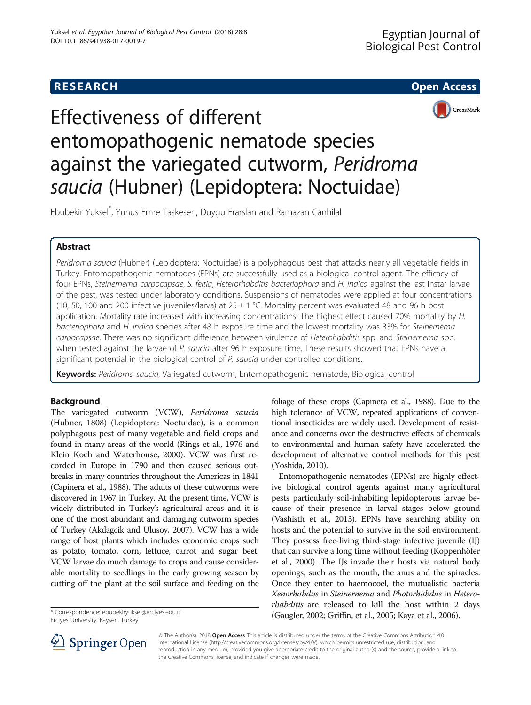# **RESEARCH CHE Open Access**



# Effectiveness of different entomopathogenic nematode species against the variegated cutworm, Peridroma saucia (Hubner) (Lepidoptera: Noctuidae)

Ebubekir Yuksel\* , Yunus Emre Taskesen, Duygu Erarslan and Ramazan Canhilal

# Abstract

Peridroma saucia (Hubner) (Lepidoptera: Noctuidae) is a polyphagous pest that attacks nearly all vegetable fields in Turkey. Entomopathogenic nematodes (EPNs) are successfully used as a biological control agent. The efficacy of four EPNs, Steinernema carpocapsae, S. feltia, Heterorhabditis bacteriophora and H. indica against the last instar larvae of the pest, was tested under laboratory conditions. Suspensions of nematodes were applied at four concentrations (10, 50, 100 and 200 infective juveniles/larva) at  $25 \pm 1$  °C. Mortality percent was evaluated 48 and 96 h post application. Mortality rate increased with increasing concentrations. The highest effect caused 70% mortality by H. bacteriophora and H. indica species after 48 h exposure time and the lowest mortality was 33% for Steinernema carpocapsae. There was no significant difference between virulence of Heterohabditis spp. and Steinernema spp. when tested against the larvae of P. saucia after 96 h exposure time. These results showed that EPNs have a significant potential in the biological control of P. saucia under controlled conditions.

Keywords: Peridroma saucia, Variegated cutworm, Entomopathogenic nematode, Biological control

## Background

The variegated cutworm (VCW), Peridroma saucia (Hubner, 1808) (Lepidoptera: Noctuidae), is a common polyphagous pest of many vegetable and field crops and found in many areas of the world (Rings et al., [1976](#page-3-0) and Klein Koch and Waterhouse, [2000](#page-3-0)). VCW was first recorded in Europe in 1790 and then caused serious outbreaks in many countries throughout the Americas in 1841 (Capinera et al., [1988](#page-2-0)). The adults of these cutworms were discovered in 1967 in Turkey. At the present time, VCW is widely distributed in Turkey's agricultural areas and it is one of the most abundant and damaging cutworm species of Turkey (Akdagcik and Ulusoy, [2007\)](#page-2-0). VCW has a wide range of host plants which includes economic crops such as potato, tomato, corn, lettuce, carrot and sugar beet. VCW larvae do much damage to crops and cause considerable mortality to seedlings in the early growing season by cutting off the plant at the soil surface and feeding on the

Erciyes University, Kayseri, Turkey

foliage of these crops (Capinera et al., [1988\)](#page-2-0). Due to the high tolerance of VCW, repeated applications of conventional insecticides are widely used. Development of resistance and concerns over the destructive effects of chemicals to environmental and human safety have accelerated the development of alternative control methods for this pest (Yoshida, [2010\)](#page-3-0).

Entomopathogenic nematodes (EPNs) are highly effective biological control agents against many agricultural pests particularly soil-inhabiting lepidopterous larvae because of their presence in larval stages below ground (Vashisth et al., [2013](#page-3-0)). EPNs have searching ability on hosts and the potential to survive in the soil environment. They possess free-living third-stage infective juvenile (IJ) that can survive a long time without feeding (Koppenhöfer et al., [2000](#page-3-0)). The IJs invade their hosts via natural body openings, such as the mouth, the anus and the spiracles. Once they enter to haemocoel, the mutualistic bacteria Xenorhabdus in Steinernema and Photorhabdus in Heterorhabditis are released to kill the host within 2 days (Gaugler, [2002;](#page-2-0) Griffin, et al., [2005;](#page-2-0) Kaya et al., [2006](#page-3-0)). \* Correspondence: [ebubekiryuksel@erciyes.edu.tr](mailto:ebubekiryuksel@erciyes.edu.tr)



© The Author(s). 2018 Open Access This article is distributed under the terms of the Creative Commons Attribution 4.0 International License ([http://creativecommons.org/licenses/by/4.0/\)](http://creativecommons.org/licenses/by/4.0/), which permits unrestricted use, distribution, and reproduction in any medium, provided you give appropriate credit to the original author(s) and the source, provide a link to the Creative Commons license, and indicate if changes were made.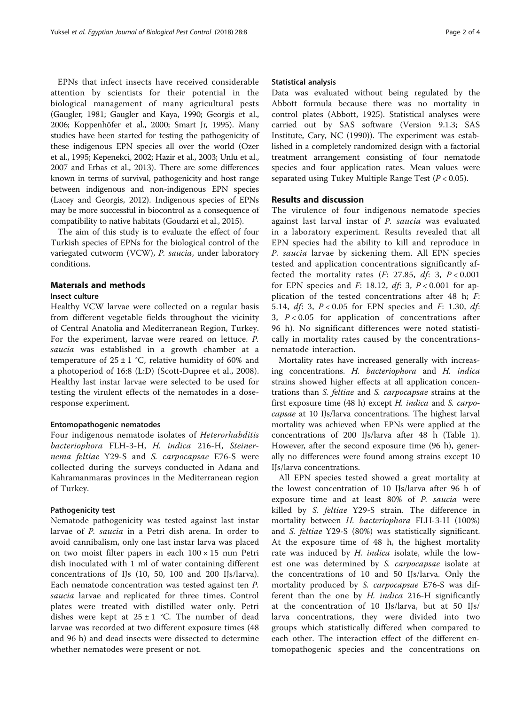EPNs that infect insects have received considerable attention by scientists for their potential in the biological management of many agricultural pests (Gaugler, [1981;](#page-2-0) Gaugler and Kaya, [1990](#page-2-0); Georgis et al., [2006;](#page-2-0) Koppenhöfer et al., [2000;](#page-3-0) Smart Jr, [1995](#page-3-0)). Many studies have been started for testing the pathogenicity of these indigenous EPN species all over the world (Ozer et al., [1995;](#page-3-0) Kepenekci, [2002;](#page-3-0) Hazir et al., [2003](#page-2-0); Unlu et al., [2007](#page-3-0) and Erbas et al., [2013\)](#page-2-0). There are some differences known in terms of survival, pathogenicity and host range between indigenous and non-indigenous EPN species (Lacey and Georgis, [2012](#page-3-0)). Indigenous species of EPNs may be more successful in biocontrol as a consequence of compatibility to native habitats (Goudarzi et al., [2015](#page-2-0)).

The aim of this study is to evaluate the effect of four Turkish species of EPNs for the biological control of the variegated cutworm (VCW), P. saucia, under laboratory conditions.

### Materıals and methods

#### Insect culture

Healthy VCW larvae were collected on a regular basis from different vegetable fields throughout the vicinity of Central Anatolia and Mediterranean Region, Turkey. For the experiment, larvae were reared on lettuce. P. saucia was established in a growth chamber at a temperature of  $25 \pm 1$  °C, relative humidity of 60% and a photoperiod of 16:8 (L:D) (Scott-Dupree et al., [2008](#page-3-0)). Healthy last instar larvae were selected to be used for testing the virulent effects of the nematodes in a doseresponse experiment.

#### Entomopathogenic nematodes

Four indigenous nematode isolates of Heterorhabditis bacteriophora FLH-3-H, H. indica 216-H, Steinernema feltiae Y29-S and S. carpocapsae E76-S were collected during the surveys conducted in Adana and Kahramanmaras provinces [in the Mediterranean region](http://scholar.google.com.tr/scholar?q=in+the+central+anatolia+region+of+Turkey&hl=tr&as_sdt=0&as_vis=1&oi=scholart&sa=X&ved=0ahUKEwiY2KTBtIjSAhVEnBoKHQRHAGoQgQMIFzAA) [of Turkey.](http://scholar.google.com.tr/scholar?q=in+the+central+anatolia+region+of+Turkey&hl=tr&as_sdt=0&as_vis=1&oi=scholart&sa=X&ved=0ahUKEwiY2KTBtIjSAhVEnBoKHQRHAGoQgQMIFzAA)

#### Pathogenicity test

Nematode pathogenicity was tested against last instar larvae of P. saucia in a Petri dish arena. In order to avoid cannibalism, only one last instar larva was placed on two moist filter papers in each  $100 \times 15$  mm Petri dish inoculated with 1 ml of water containing different concentrations of IJs (10, 50, 100 and 200 IJs/larva). Each nematode concentration was tested against ten P. saucia larvae and replicated for three times. Control plates were treated with distilled water only. Petri dishes were kept at  $25 \pm 1$  °C. The number of dead larvae was recorded at two different exposure times (48 and 96 h) and dead insects were dissected to determine whether nematodes were present or not.

#### Statistical analysis

Data was evaluated without being regulated by the Abbott formula because there was no mortality in control plates (Abbott, [1925\)](#page-2-0). Statistical analyses were carried out by SAS software (Version 9.1.3; SAS Institute, Cary, NC [\(1990\)](#page-3-0)). The experiment was established in a completely randomized design with a factorial treatment arrangement consisting of four nematode species and four application rates. Mean values were separated using Tukey Multiple Range Test  $(P < 0.05)$ .

### Results and discussion

The virulence of four indigenous nematode species against last larval instar of P. saucia was evaluated in a laboratory experiment. Results revealed that all EPN species had the ability to kill and reproduce in P. saucia larvae by sickening them. All EPN species tested and application concentrations significantly affected the mortality rates  $(F: 27.85, df: 3, P < 0.001$ for EPN species and F: 18.12,  $df: 3$ ,  $P < 0.001$  for application of the tested concentrations after 48 h; F: 5.14, *df*: 3,  $P < 0.05$  for EPN species and *F*: 1.30, *df*: 3,  $P < 0.05$  for application of concentrations after 96 h). No significant differences were noted statistically in mortality rates caused by the concentrationsnematode interaction.

Mortality rates have increased generally with increasing concentrations. H. bacteriophora and H. indica strains showed higher effects at all application concentrations than S. feltiae and S. carpocapsae strains at the first exposure time  $(48 \text{ h})$  except H. indica and S. carpocapsae at 10 IJs/larva concentrations. The highest larval mortality was achieved when EPNs were applied at the concentrations of 200 IJs/larva after 48 h (Table [1](#page-2-0)). However, after the second exposure time (96 h), generally no differences were found among strains except 10 IJs/larva concentrations.

All EPN species tested showed a great mortality at the lowest concentration of 10 IJs/larva after 96 h of exposure time and at least 80% of P. saucia were killed by S. feltiae Y29-S strain. The difference in mortality between H. bacteriophora FLH-3-H (100%) and S. feltiae Y29-S (80%) was statistically significant. At the exposure time of 48 h, the highest mortality rate was induced by H. indica isolate, while the lowest one was determined by S. carpocapsae isolate at the concentrations of 10 and 50 IJs/larva. Only the mortality produced by *S. carpocapsae* E76-S was different than the one by  $H$ . *indica* 216-H significantly at the concentration of 10 IJs/larva, but at 50 IJs/ larva concentrations, they were divided into two groups which statistically differed when compared to each other. The interaction effect of the different entomopathogenic species and the concentrations on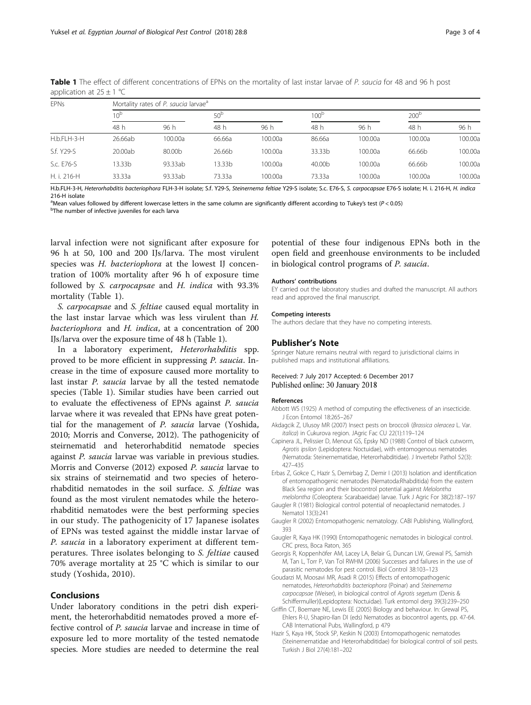| <b>EPNs</b> | Mortality rates of P. saucia larvae <sup>a</sup> |         |                 |         |                  |         |               |         |
|-------------|--------------------------------------------------|---------|-----------------|---------|------------------|---------|---------------|---------|
|             | 10 <sup>b</sup>                                  |         | 50 <sup>b</sup> |         | 100 <sup>L</sup> |         | $200^{\circ}$ |         |
|             | 48 h                                             | 96 h    | 48 h            | 96 h    | 48 h             | 96 h    | 48 h          | 96 h    |
| H.b.FLH-3-H | 26.66ab                                          | 100.00a | 66.66a          | 100.00a | 86.66a           | 100.00a | 100.00a       | 100.00a |
| S.f. Y29-S  | 20.00ab                                          | 80.00b  | 26.66b          | 100.00a | 33.33b           | 100.00a | 66.66b        | 100.00a |
| S.c. E76-S  | 13.33b                                           | 93.33ab | 13.33b          | 100.00a | 40.00b           | 100.00a | 66.66b        | 100.00a |
| H. i. 216-H | 33.33a                                           | 93.33ab | 73.33a          | 100.00a | 73.33a           | 100.00a | 100.00a       | 100.00a |

<span id="page-2-0"></span>Table 1 The effect of different concentrations of EPNs on the mortality of last instar larvae of P. saucia for 48 and 96 h post application at  $25 \pm 1$  °C

H.b.FLH-3-H, Heterorhabditis bacteriophora FLH-3-H isolate; S.f. Y29-S, Steinernema feltiae Y29-S isolate; S.c. E76-S, S. carpocapsae E76-S isolate; H. i. 216-H, H. indica 216-H isolate

a<br>Mean values followed by different lowercase letters in the same column are significantly different according to Tukey's test (P<0.05)<br>PThe number of infective juveniles for each lange <sup>b</sup>The number of infective juveniles for each larva

larval infection were not significant after exposure for 96 h at 50, 100 and 200 IJs/larva. The most virulent species was H. bacteriophora at the lowest IJ concentration of 100% mortality after 96 h of exposure time followed by S. carpocapsae and H. indica with 93.3% mortality (Table 1).

S. carpocapsae and S. feltiae caused equal mortality in the last instar larvae which was less virulent than H. bacteriophora and H. indica, at a concentration of 200 IJs/larva over the exposure time of 48 h (Table 1).

In a laboratory experiment, Heterorhabditis spp. proved to be more efficient in suppressing P. saucia. Increase in the time of exposure caused more mortality to last instar P. saucia larvae by all the tested nematode species (Table 1). Similar studies have been carried out to evaluate the effectiveness of EPNs against P. saucia larvae where it was revealed that EPNs have great potential for the management of P. saucia larvae (Yoshida, [2010](#page-3-0); Morris and Converse, [2012](#page-3-0)). The pathogenicity of steirnematid and heterorhabditid nematode species against P. saucia larvae was variable in previous studies. Morris and Converse [\(2012\)](#page-3-0) exposed P. saucia larvae to six strains of steirnematid and two species of heterorhabditid nematodes in the soil surface. S. feltiae was found as the most virulent nematodes while the heterorhabditid nematodes were the best performing species in our study. The pathogenicity of 17 Japanese isolates of EPNs was tested against the middle instar larvae of P. saucia in a laboratory experiment at different temperatures. Three isolates belonging to S. feltiae caused 70% average mortality at 25 °C which is similar to our study (Yoshida, [2010\)](#page-3-0).

### Conclusions

Under laboratory conditions in the petri dish experiment, the heterorhabditid nematodes proved a more effective control of P. saucia larvae and increase in time of exposure led to more mortality of the tested nematode species. More studies are needed to determine the real

potential of these four indigenous EPNs both in the open field and greenhouse environments to be included in biological control programs of P. saucia.

#### Authors' contributions

EY carried out the laboratory studies and drafted the manuscript. All authors read and approved the final manuscript.

#### Competing interests

The authors declare that they have no competing interests.

### Publisher's Note

Springer Nature remains neutral with regard to jurisdictional claims in published maps and institutional affiliations.

#### Received: 7 July 2017 Accepted: 6 December 2017 Published online: 30 January 2018

#### References

- Abbott WS (1925) A method of computing the effectiveness of an insecticide. J Econ Entomol 18:265–267
- Akdagcik Z, Ulusoy MR (2007) Insect pests on broccoli (Brassica oleracea L. Var. italica) in Cukurova region. JAgric Fac CU 22(1):119–124
- Capinera JL, Pelissier D, Menout GS, Epsky ND (1988) Control of black cutworm, Agrotis ipsilon (Lepidoptera: Noctuidae), with entomogenous nematodes (Nematoda: Steinernematidae, Heterorhabditidae). J Invertebr Pathol 52(3): 427–435
- Erbas Z, Gokce C, Hazir S, Demirbag Z, Demir I (2013) Isolation and identification of entomopathogenic nematodes (Nematoda:Rhabditida) from the eastern Black Sea region and their biocontrol potential against Melolontha melolontha (Coleoptera: Scarabaeidae) larvae. Turk J Agric For 38(2):187–197
- Gaugler R (1981) Biological control potential of neoaplectanid nematodes. J Nematol 13(3):241
- Gaugler R (2002) Entomopathogenic nematology. CABI Publishing, Wallingford, 393
- Gaugler R, Kaya HK (1990) Entomopathogenic nematodes in biological control. CRC press, Boca Raton, 365
- Georgis R, Koppenhöfer AM, Lacey LA, Belair G, Duncan LW, Grewal PS, Samish M, Tan L, Torr P, Van Tol RWHM (2006) Successes and failures in the use of parasitic nematodes for pest control. Biol Control 38:103–123
- Goudarzi M, Moosavi MR, Asadi R (2015) Effects of entomopathogenic nematodes, Heterorhabditis bacteriophora (Poinar) and Steinernema carpocapsae (Weiser), in biological control of Agrotis segetum (Denis & Schiffermuller)(Lepidoptera: Noctuidae). Turk entomol derg 39(3):239–250
- Griffin CT, Boemare NE, Lewis EE (2005) Biology and behaviour. In: Grewal PS, Ehlers R-U, Shapiro-Ilan DI (eds) Nematodes as biocontrol agents, pp. 47-64. CAB International Pubs, Wallingford, p 479
- Hazir S, Kaya HK, Stock SP, Keskin N (2003) Entomopathogenic nematodes (Steinernematidae and Heterorhabditidae) for biological control of soil pests. Turkish J Biol 27(4):181–202